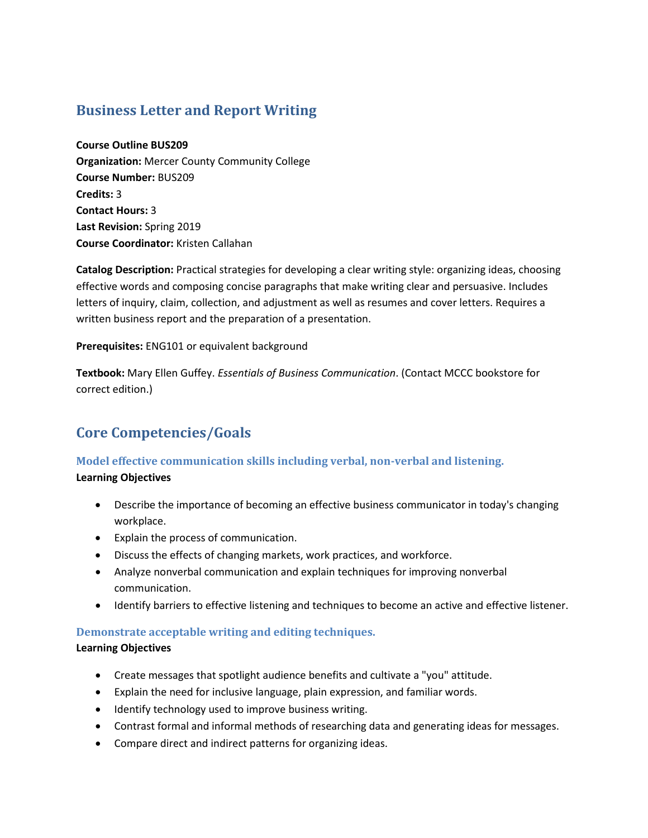# **Business Letter and Report Writing**

#### **Course Outline BUS209**

**Organization:** Mercer County Community College **Course Number:** BUS209 **Credits:** 3 **Contact Hours:** 3 **Last Revision:** Spring 2019 **Course Coordinator:** Kristen Callahan

**Catalog Description:** Practical strategies for developing a clear writing style: organizing ideas, choosing effective words and composing concise paragraphs that make writing clear and persuasive. Includes letters of inquiry, claim, collection, and adjustment as well as resumes and cover letters. Requires a written business report and the preparation of a presentation.

**Prerequisites:** ENG101 or equivalent background

**Textbook:** Mary Ellen Guffey. *Essentials of Business Communication*. (Contact MCCC bookstore for correct edition.)

# **Core Competencies/Goals**

# **Model effective communication skills including verbal, non-verbal and listening.**

# **Learning Objectives**

- Describe the importance of becoming an effective business communicator in today's changing workplace.
- Explain the process of communication.
- Discuss the effects of changing markets, work practices, and workforce.
- Analyze nonverbal communication and explain techniques for improving nonverbal communication.
- Identify barriers to effective listening and techniques to become an active and effective listener.

# **Demonstrate acceptable writing and editing techniques.**

# **Learning Objectives**

- Create messages that spotlight audience benefits and cultivate a "you" attitude.
- Explain the need for inclusive language, plain expression, and familiar words.
- Identify technology used to improve business writing.
- Contrast formal and informal methods of researching data and generating ideas for messages.
- Compare direct and indirect patterns for organizing ideas.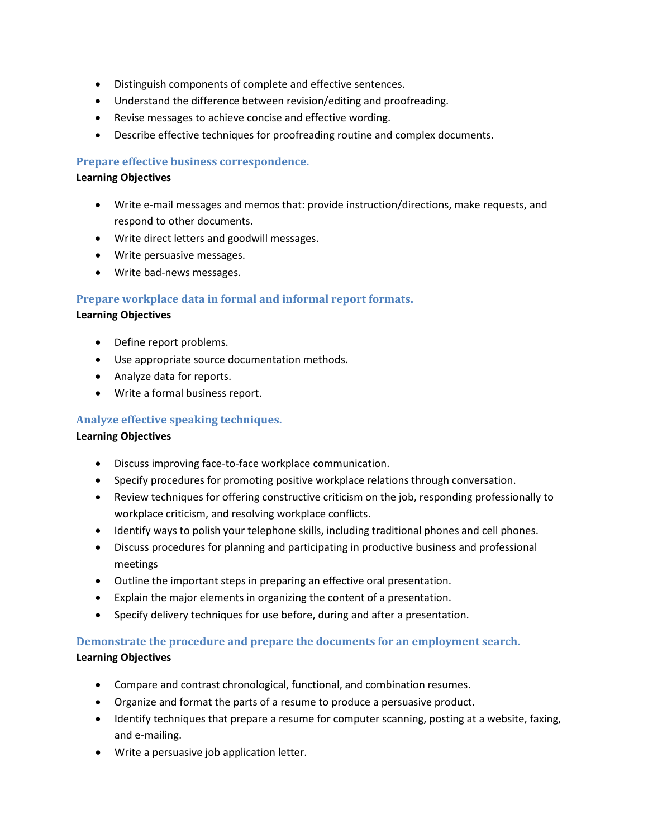- Distinguish components of complete and effective sentences.
- Understand the difference between revision/editing and proofreading.
- Revise messages to achieve concise and effective wording.
- Describe effective techniques for proofreading routine and complex documents.

# **Prepare effective business correspondence.**

# **Learning Objectives**

- Write e-mail messages and memos that: provide instruction/directions, make requests, and respond to other documents.
- Write direct letters and goodwill messages.
- Write persuasive messages.
- Write bad-news messages.

# **Prepare workplace data in formal and informal report formats.**

#### **Learning Objectives**

- Define report problems.
- Use appropriate source documentation methods.
- Analyze data for reports.
- Write a formal business report.

# **Analyze effective speaking techniques.**

# **Learning Objectives**

- Discuss improving face-to-face workplace communication.
- Specify procedures for promoting positive workplace relations through conversation.
- Review techniques for offering constructive criticism on the job, responding professionally to workplace criticism, and resolving workplace conflicts.
- Identify ways to polish your telephone skills, including traditional phones and cell phones.
- Discuss procedures for planning and participating in productive business and professional meetings
- Outline the important steps in preparing an effective oral presentation.
- Explain the major elements in organizing the content of a presentation.
- Specify delivery techniques for use before, during and after a presentation.

# **Demonstrate the procedure and prepare the documents for an employment search.**

# **Learning Objectives**

- Compare and contrast chronological, functional, and combination resumes.
- Organize and format the parts of a resume to produce a persuasive product.
- Identify techniques that prepare a resume for computer scanning, posting at a website, faxing, and e-mailing.
- Write a persuasive job application letter.